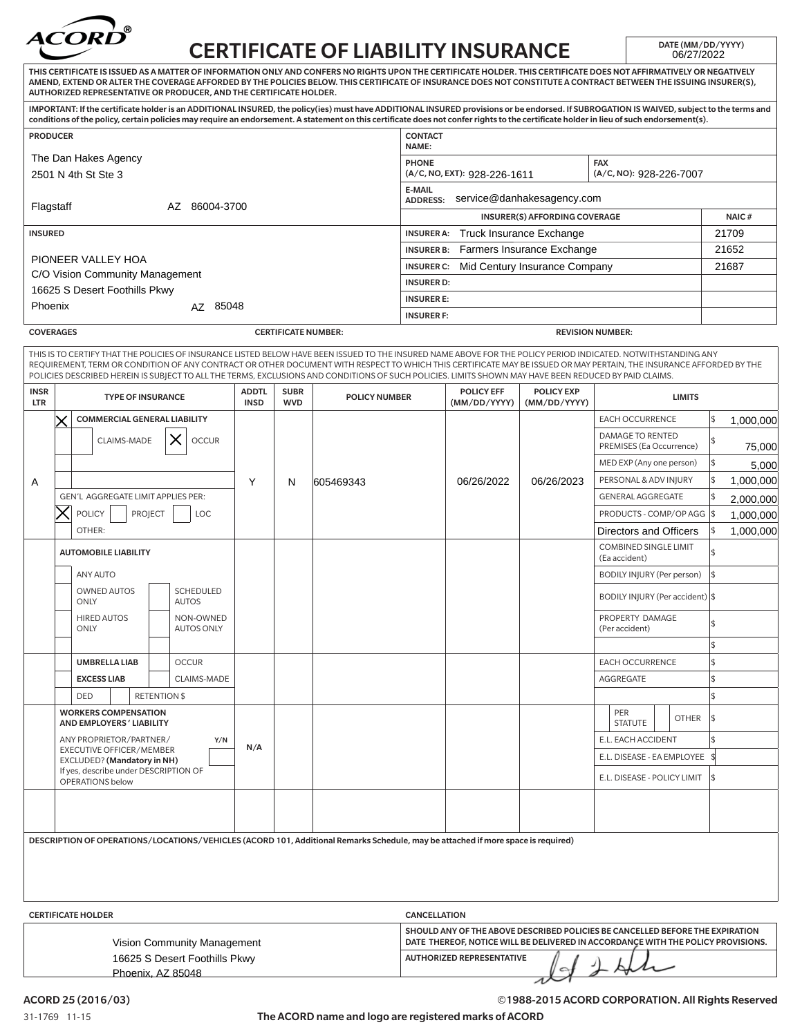

## CERTIFICATE OF LIABILITY INSURANCE DATE (MM/DD/YYYY)

|                                                                                                                                                                                                                                                                                                                                                                                                                                                                                                |                                                                                                                                    |                                                         |     |                           |                             |                            | ERTIFICATE OF LIADILITY INSURANCE                                                                                                |                                                                                                                      |                                   |                                   |                                                 |                                              | 06/27/2022   |            |                        |
|------------------------------------------------------------------------------------------------------------------------------------------------------------------------------------------------------------------------------------------------------------------------------------------------------------------------------------------------------------------------------------------------------------------------------------------------------------------------------------------------|------------------------------------------------------------------------------------------------------------------------------------|---------------------------------------------------------|-----|---------------------------|-----------------------------|----------------------------|----------------------------------------------------------------------------------------------------------------------------------|----------------------------------------------------------------------------------------------------------------------|-----------------------------------|-----------------------------------|-------------------------------------------------|----------------------------------------------|--------------|------------|------------------------|
| THIS CERTIFICATE IS ISSUED AS A MATTER OF INFORMATION ONLY AND CONFERS NO RIGHTS UPON THE CERTIFICATE HOLDER. THIS CERTIFICATE DOES NOT AFFIRMATIVELY OR NEGATIVELY<br>AMEND, EXTEND OR ALTER THE COVERAGE AFFORDED BY THE POLICIES BELOW. THIS CERTIFICATE OF INSURANCE DOES NOT CONSTITUTE A CONTRACT BETWEEN THE ISSUING INSURER(S),<br>AUTHORIZED REPRESENTATIVE OR PRODUCER, AND THE CERTIFICATE HOLDER.                                                                                  |                                                                                                                                    |                                                         |     |                           |                             |                            |                                                                                                                                  |                                                                                                                      |                                   |                                   |                                                 |                                              |              |            |                        |
| IMPORTANT: If the certificate holder is an ADDITIONAL INSURED, the policy(ies) must have ADDITIONAL INSURED provisions or be endorsed. If SUBROGATION IS WAIVED, subject to the terms and<br>conditions of the policy, certain policies may require an endorsement. A statement on this certificate does not confer rights to the certificate holder in lieu of such endorsement(s).                                                                                                           |                                                                                                                                    |                                                         |     |                           |                             |                            |                                                                                                                                  |                                                                                                                      |                                   |                                   |                                                 |                                              |              |            |                        |
| <b>CONTACT</b><br><b>PRODUCER</b><br>NAME:                                                                                                                                                                                                                                                                                                                                                                                                                                                     |                                                                                                                                    |                                                         |     |                           |                             |                            |                                                                                                                                  |                                                                                                                      |                                   |                                   |                                                 |                                              |              |            |                        |
| The Dan Hakes Agency                                                                                                                                                                                                                                                                                                                                                                                                                                                                           |                                                                                                                                    |                                                         |     |                           |                             |                            |                                                                                                                                  |                                                                                                                      | <b>PHONE</b><br><b>FAX</b>        |                                   |                                                 |                                              |              |            |                        |
| 2501 N 4th St Ste 3                                                                                                                                                                                                                                                                                                                                                                                                                                                                            |                                                                                                                                    |                                                         |     |                           |                             |                            |                                                                                                                                  | (A/C, NO): 928-226-7007<br>(A/C, NO, EXT): 928-226-1611<br><b>E-MAIL</b>                                             |                                   |                                   |                                                 |                                              |              |            |                        |
| Flagstaff<br>AZ 86004-3700                                                                                                                                                                                                                                                                                                                                                                                                                                                                     |                                                                                                                                    |                                                         |     |                           |                             |                            | service@danhakesagency.com<br><b>ADDRESS:</b>                                                                                    |                                                                                                                      |                                   |                                   |                                                 |                                              |              |            |                        |
|                                                                                                                                                                                                                                                                                                                                                                                                                                                                                                |                                                                                                                                    |                                                         |     |                           |                             |                            | INSURER(S) AFFORDING COVERAGE<br><b>INSURER A:</b><br>Truck Insurance Exchange                                                   |                                                                                                                      |                                   |                                   |                                                 | NAIC#<br>21709                               |              |            |                        |
| <b>INSURED</b>                                                                                                                                                                                                                                                                                                                                                                                                                                                                                 |                                                                                                                                    |                                                         |     |                           |                             |                            |                                                                                                                                  | Farmers Insurance Exchange<br><b>INSURER B:</b>                                                                      |                                   |                                   |                                                 |                                              | 21652        |            |                        |
| PIONEER VALLEY HOA<br>C/O Vision Community Management                                                                                                                                                                                                                                                                                                                                                                                                                                          |                                                                                                                                    |                                                         |     |                           |                             |                            |                                                                                                                                  | <b>INSURER C:</b><br>Mid Century Insurance Company                                                                   |                                   |                                   |                                                 |                                              | 21687        |            |                        |
| 16625 S Desert Foothills Pkwy                                                                                                                                                                                                                                                                                                                                                                                                                                                                  |                                                                                                                                    |                                                         |     |                           |                             |                            |                                                                                                                                  | <b>INSURER D:</b>                                                                                                    |                                   |                                   |                                                 |                                              |              |            |                        |
| Phoenix                                                                                                                                                                                                                                                                                                                                                                                                                                                                                        |                                                                                                                                    |                                                         |     | AZ 85048                  |                             |                            |                                                                                                                                  | <b>INSURER E:</b><br><b>INSURER F:</b>                                                                               |                                   |                                   |                                                 |                                              |              |            |                        |
| <b>COVERAGES</b>                                                                                                                                                                                                                                                                                                                                                                                                                                                                               |                                                                                                                                    |                                                         |     |                           |                             | <b>CERTIFICATE NUMBER:</b> |                                                                                                                                  | <b>REVISION NUMBER:</b>                                                                                              |                                   |                                   |                                                 |                                              |              |            |                        |
| THIS IS TO CERTIFY THAT THE POLICIES OF INSURANCE LISTED BELOW HAVE BEEN ISSUED TO THE INSURED NAME ABOVE FOR THE POLICY PERIOD INDICATED. NOTWITHSTANDING ANY<br>REQUIREMENT, TERM OR CONDITION OF ANY CONTRACT OR OTHER DOCUMENT WITH RESPECT TO WHICH THIS CERTIFICATE MAY BE ISSUED OR MAY PERTAIN, THE INSURANCE AFFORDED BY THE<br>POLICIES DESCRIBED HEREIN IS SUBJECT TO ALL THE TERMS, EXCLUSIONS AND CONDITIONS OF SUCH POLICIES. LIMITS SHOWN MAY HAVE BEEN REDUCED BY PAID CLAIMS. |                                                                                                                                    |                                                         |     |                           |                             |                            |                                                                                                                                  |                                                                                                                      |                                   |                                   |                                                 |                                              |              |            |                        |
| <b>INSR</b><br><b>LTR</b>                                                                                                                                                                                                                                                                                                                                                                                                                                                                      |                                                                                                                                    | <b>TYPE OF INSURANCE</b>                                |     |                           | <b>ADDTL</b><br><b>INSD</b> | <b>SUBR</b><br><b>WVD</b>  | <b>POLICY NUMBER</b>                                                                                                             |                                                                                                                      | <b>POLICY EFF</b><br>(MM/DD/YYYY) | <b>POLICY EXP</b><br>(MM/DD/YYYY) |                                                 | <b>LIMITS</b>                                |              |            |                        |
|                                                                                                                                                                                                                                                                                                                                                                                                                                                                                                |                                                                                                                                    | <b>COMMERCIAL GENERAL LIABILITY</b>                     |     |                           |                             |                            |                                                                                                                                  |                                                                                                                      |                                   |                                   |                                                 | <b>EACH OCCURRENCE</b>                       |              | \$         | 1,000,000              |
|                                                                                                                                                                                                                                                                                                                                                                                                                                                                                                |                                                                                                                                    | X<br>CLAIMS-MADE<br><b>OCCUR</b>                        |     |                           |                             |                            |                                                                                                                                  |                                                                                                                      |                                   |                                   |                                                 | DAMAGE TO RENTED<br>PREMISES (Ea Occurrence) |              | 1\$        | 75,000                 |
|                                                                                                                                                                                                                                                                                                                                                                                                                                                                                                |                                                                                                                                    |                                                         |     |                           |                             |                            |                                                                                                                                  |                                                                                                                      |                                   |                                   |                                                 | MED EXP (Any one person)                     |              | Ι\$        | 5,000                  |
| A                                                                                                                                                                                                                                                                                                                                                                                                                                                                                              | GEN'L AGGREGATE LIMIT APPLIES PER:<br><b>POLICY</b><br><b>PROJECT</b><br>LOC                                                       |                                                         |     | Y                         | N                           | 605469343                  |                                                                                                                                  | 06/26/2022                                                                                                           | 06/26/2023                        |                                   | PERSONAL & ADV INJURY                           |                                              | 5            | 1,000,000  |                        |
|                                                                                                                                                                                                                                                                                                                                                                                                                                                                                                |                                                                                                                                    |                                                         |     |                           |                             |                            |                                                                                                                                  |                                                                                                                      |                                   |                                   | GENERAL AGGREGATE<br>PRODUCTS - COMP/OP AGG  \$ |                                              | 1\$          | 2,000,000  |                        |
|                                                                                                                                                                                                                                                                                                                                                                                                                                                                                                |                                                                                                                                    | OTHER:                                                  |     |                           |                             |                            |                                                                                                                                  |                                                                                                                      |                                   |                                   |                                                 | Directors and Officers                       |              | 1\$        | 1,000,000<br>1,000,000 |
|                                                                                                                                                                                                                                                                                                                                                                                                                                                                                                | <b>AUTOMOBILE LIABILITY</b>                                                                                                        |                                                         |     |                           |                             |                            |                                                                                                                                  |                                                                                                                      |                                   |                                   | <b>COMBINED SINGLE LIMIT</b><br>(Ea accident)   |                                              | l\$          |            |                        |
|                                                                                                                                                                                                                                                                                                                                                                                                                                                                                                | <b>ANY AUTO</b>                                                                                                                    |                                                         |     |                           |                             |                            |                                                                                                                                  |                                                                                                                      |                                   |                                   | <b>BODILY INJURY (Per person)</b>               |                                              | 1\$          |            |                        |
|                                                                                                                                                                                                                                                                                                                                                                                                                                                                                                | <b>SCHEDULED</b><br><b>OWNED AUTOS</b>                                                                                             |                                                         |     |                           |                             |                            |                                                                                                                                  |                                                                                                                      |                                   | BODILY INJURY (Per accident) \$   |                                                 |                                              |              |            |                        |
|                                                                                                                                                                                                                                                                                                                                                                                                                                                                                                |                                                                                                                                    | ONLY<br><b>HIRED AUTOS</b>                              |     | <b>AUTOS</b><br>NON-OWNED |                             |                            |                                                                                                                                  |                                                                                                                      |                                   |                                   |                                                 | PROPERTY DAMAGE                              |              |            |                        |
|                                                                                                                                                                                                                                                                                                                                                                                                                                                                                                |                                                                                                                                    | ONLY                                                    |     | <b>AUTOS ONLY</b>         |                             |                            |                                                                                                                                  |                                                                                                                      |                                   |                                   |                                                 | (Per accident)                               |              | 1\$        |                        |
|                                                                                                                                                                                                                                                                                                                                                                                                                                                                                                |                                                                                                                                    | <b>UMBRELLA LIAB</b>                                    |     | <b>OCCUR</b>              |                             |                            |                                                                                                                                  |                                                                                                                      |                                   |                                   |                                                 | <b>EACH OCCURRENCE</b>                       |              | 1\$<br>l\$ |                        |
|                                                                                                                                                                                                                                                                                                                                                                                                                                                                                                |                                                                                                                                    | <b>EXCESS LIAB</b><br>CLAIMS-MADE                       |     |                           |                             |                            |                                                                                                                                  |                                                                                                                      |                                   | AGGREGATE                         |                                                 |                                              | 5            |            |                        |
|                                                                                                                                                                                                                                                                                                                                                                                                                                                                                                |                                                                                                                                    | <b>RETENTION \$</b><br>DED                              |     |                           |                             |                            |                                                                                                                                  |                                                                                                                      |                                   |                                   |                                                 |                                              |              | l\$        |                        |
|                                                                                                                                                                                                                                                                                                                                                                                                                                                                                                |                                                                                                                                    | <b>WORKERS COMPENSATION</b><br>AND EMPLOYERS' LIABILITY |     |                           |                             |                            |                                                                                                                                  |                                                                                                                      |                                   |                                   |                                                 | PER<br><b>STATUTE</b>                        | <b>OTHER</b> | 1\$        |                        |
|                                                                                                                                                                                                                                                                                                                                                                                                                                                                                                | ANY PROPRIETOR/PARTNER/<br>Y/N                                                                                                     |                                                         | N/A |                           |                             |                            |                                                                                                                                  |                                                                                                                      |                                   | E.L. EACH ACCIDENT                |                                                 | 1\$                                          |              |            |                        |
|                                                                                                                                                                                                                                                                                                                                                                                                                                                                                                | <b>EXECUTIVE OFFICER/MEMBER</b><br><b>EXCLUDED?</b> (Mandatory in NH)<br>If yes, describe under DESCRIPTION OF<br>OPERATIONS below |                                                         |     |                           |                             |                            |                                                                                                                                  |                                                                                                                      |                                   | E.L. DISEASE - EA EMPLOYEE \$     |                                                 |                                              |              |            |                        |
|                                                                                                                                                                                                                                                                                                                                                                                                                                                                                                |                                                                                                                                    |                                                         |     |                           |                             |                            |                                                                                                                                  |                                                                                                                      |                                   | E.L. DISEASE - POLICY LIMIT       |                                                 |                                              | -1\$         |            |                        |
|                                                                                                                                                                                                                                                                                                                                                                                                                                                                                                |                                                                                                                                    |                                                         |     |                           |                             |                            |                                                                                                                                  |                                                                                                                      |                                   |                                   |                                                 |                                              |              |            |                        |
|                                                                                                                                                                                                                                                                                                                                                                                                                                                                                                |                                                                                                                                    |                                                         |     |                           |                             |                            |                                                                                                                                  |                                                                                                                      |                                   |                                   |                                                 |                                              |              |            |                        |
|                                                                                                                                                                                                                                                                                                                                                                                                                                                                                                |                                                                                                                                    |                                                         |     |                           |                             |                            | DESCRIPTION OF OPERATIONS/LOCATIONS/VEHICLES (ACORD 101, Additional Remarks Schedule, may be attached if more space is required) |                                                                                                                      |                                   |                                   |                                                 |                                              |              |            |                        |
|                                                                                                                                                                                                                                                                                                                                                                                                                                                                                                |                                                                                                                                    |                                                         |     |                           |                             |                            |                                                                                                                                  |                                                                                                                      |                                   |                                   |                                                 |                                              |              |            |                        |
| <b>CERTIFICATE HOLDER</b><br><b>CANCELLATION</b>                                                                                                                                                                                                                                                                                                                                                                                                                                               |                                                                                                                                    |                                                         |     |                           |                             |                            |                                                                                                                                  |                                                                                                                      |                                   |                                   |                                                 |                                              |              |            |                        |
|                                                                                                                                                                                                                                                                                                                                                                                                                                                                                                |                                                                                                                                    |                                                         |     |                           |                             |                            |                                                                                                                                  | SHOULD ANY OF THE ABOVE DESCRIBED POLICIES BE CANCELLED BEFORE THE EXPIRATION                                        |                                   |                                   |                                                 |                                              |              |            |                        |
|                                                                                                                                                                                                                                                                                                                                                                                                                                                                                                | Vision Community Management<br>16625 S Desert Foothills Pkwy                                                                       |                                                         |     |                           |                             |                            |                                                                                                                                  | DATE THEREOF, NOTICE WILL BE DELIVERED IN ACCORDANCE WITH THE POLICY PROVISIONS.<br><b>AUTHORIZED REPRESENTATIVE</b> |                                   |                                   |                                                 |                                              |              |            |                        |
| Phoenix, AZ 85048                                                                                                                                                                                                                                                                                                                                                                                                                                                                              |                                                                                                                                    |                                                         |     |                           |                             |                            |                                                                                                                                  |                                                                                                                      | Ith                               |                                   |                                                 |                                              |              |            |                        |

©1988-2015 ACORD CORPORATION. All Rights Reserved